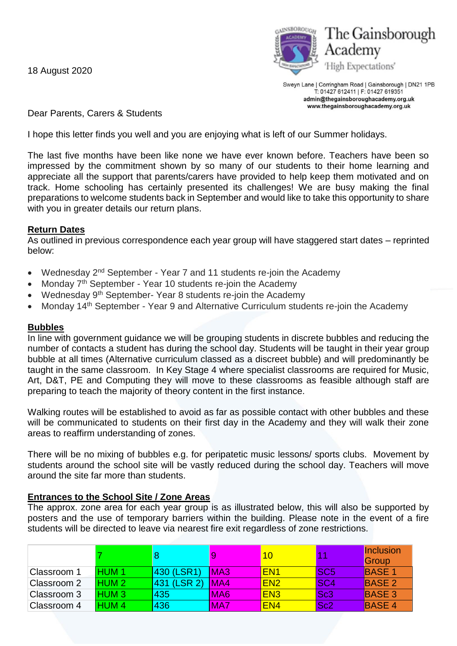18 August 2020



Sweyn Lane | Corringham Road | Gainsborough | DN21 1PB T: 01427 612411 | F: 01427 619351 admin@thegainsboroughacademy.org.uk www.thegainsboroughacademy.org.uk

Dear Parents, Carers & Students

I hope this letter finds you well and you are enjoying what is left of our Summer holidays.

The last five months have been like none we have ever known before. Teachers have been so impressed by the commitment shown by so many of our students to their home learning and appreciate all the support that parents/carers have provided to help keep them motivated and on track. Home schooling has certainly presented its challenges! We are busy making the final preparations to welcome students back in September and would like to take this opportunity to share with you in greater details our return plans.

## **Return Dates**

As outlined in previous correspondence each year group will have staggered start dates – reprinted below:

- Wednesday 2<sup>nd</sup> September Year 7 and 11 students re-join the Academy
- Monday 7<sup>th</sup> September Year 10 students re-join the Academy
- Wednesday 9<sup>th</sup> September- Year 8 students re-join the Academy
- Monday 14<sup>th</sup> September Year 9 and Alternative Curriculum students re-join the Academy

## **Bubbles**

In line with government guidance we will be grouping students in discrete bubbles and reducing the number of contacts a student has during the school day. Students will be taught in their year group bubble at all times (Alternative curriculum classed as a discreet bubble) and will predominantly be taught in the same classroom. In Key Stage 4 where specialist classrooms are required for Music, Art, D&T, PE and Computing they will move to these classrooms as feasible although staff are preparing to teach the majority of theory content in the first instance.

Walking routes will be established to avoid as far as possible contact with other bubbles and these will be communicated to students on their first day in the Academy and they will walk their zone areas to reaffirm understanding of zones.

There will be no mixing of bubbles e.g. for peripatetic music lessons/ sports clubs. Movement by students around the school site will be vastly reduced during the school day. Teachers will move around the site far more than students.

## **Entrances to the School Site / Zone Areas**

The approx. zone area for each year group is as illustrated below, this will also be supported by posters and the use of temporary barriers within the building. Please note in the event of a fire students will be directed to leave via nearest fire exit regardless of zone restrictions.

|             |                  |             |                 | 10              |                 | Inclusion<br>Group |
|-------------|------------------|-------------|-----------------|-----------------|-----------------|--------------------|
| Classroom 1 | <b>HUM1</b>      | 430 (LSR1)  | MA <sub>3</sub> | EN <sub>1</sub> | <b>ISC5</b>     | <b>BASE 1</b>      |
| Classroom 2 | HUM <sub>2</sub> | 431 (LSR 2) | <b>IMA4</b>     | <b>EN2</b>      | <b>SC4</b>      | <b>BASE 2</b>      |
| Classroom 3 | HUM <sub>3</sub> | 435         | MA <sub>6</sub> | <b>EN3</b>      | Sc <sub>3</sub> | <b>BASE 3</b>      |
| Classroom 4 | HUM <sub>4</sub> | 436         | MA7             | EN <sub>4</sub> | Sc <sub>2</sub> | <b>BASE 4</b>      |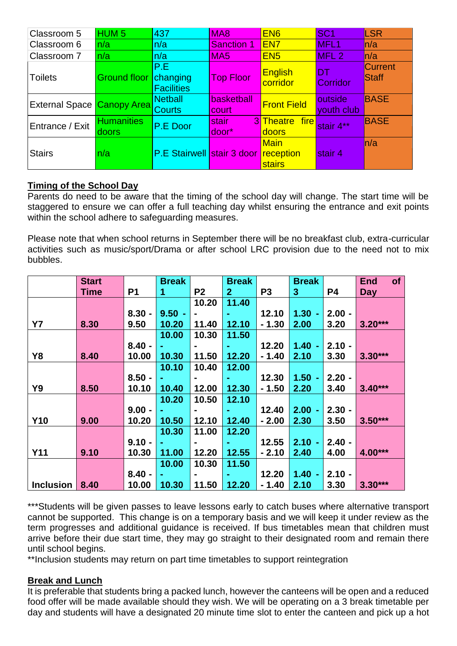| Classroom 5                | HUM <sub>5</sub>           | 437                                  | MA <sub>8</sub>     | EN <sub>6</sub>              | SC <sub>1</sub>        | LSR                     |
|----------------------------|----------------------------|--------------------------------------|---------------------|------------------------------|------------------------|-------------------------|
| Classroom 6                | n/a                        | n/a                                  | <b>Sanction 1</b>   | EN <sub>7</sub>              | MFL <sub>1</sub>       | ln/a                    |
| Classroom 7                | n/a                        | n/a                                  | MA <sub>5</sub>     | EN <sub>5</sub>              | MFL <sub>2</sub>       | ln/a                    |
| <b>Toilets</b>             | <b>Ground floor</b>        | P.E<br>changing<br><b>Facilities</b> | <b>Top Floor</b>    | English<br>corridor          | <b>DT</b><br>Corridor  | <b>Current</b><br>Staff |
| External Space Canopy Area |                            | <b>Netball</b><br><b>Courts</b>      | basketball<br>court | <b>Front Field</b>           | loutside<br>youth club | <b>BASE</b>             |
| Entrance / Exit            | <b>Humanities</b><br>doors | P.E Door                             | stair<br>door*      | 3 Theatre fire<br>doors      | stair 4**              | <b>BASE</b>             |
| <b>Stairs</b>              | n/a                        | P.E Stairwell stair 3 door reception |                     | <b>Main</b><br><b>stairs</b> | stair 4                | ln/a                    |

# **Timing of the School Day**

Parents do need to be aware that the timing of the school day will change. The start time will be staggered to ensure we can offer a full teaching day whilst ensuring the entrance and exit points within the school adhere to safeguarding measures.

Please note that when school returns in September there will be no breakfast club, extra-curricular activities such as music/sport/Drama or after school LRC provision due to the need not to mix bubbles.

|                  | <b>Start</b> |                | <b>Break</b> |                | <b>Break</b>   |                | <b>Break</b> |          | <b>End</b> | of |
|------------------|--------------|----------------|--------------|----------------|----------------|----------------|--------------|----------|------------|----|
|                  | Time         | P <sub>1</sub> | $\mathbf{1}$ | P <sub>2</sub> | 2 <sup>1</sup> | P <sub>3</sub> | 3            | P4       | Day        |    |
|                  |              |                |              | 10.20          | 11.40          |                |              |          |            |    |
|                  |              | $8.30 -$       | $9.50 -$     |                |                | 12.10          | 1.30         | $2.00 -$ |            |    |
| <b>Y7</b>        | 8.30         | 9.50           | 10.20        | 11.40          | 12.10          | $-1.30$        | 2.00         | 3.20     | $3.20***$  |    |
|                  |              |                | 10.00        | 10.30          | 11.50          |                |              |          |            |    |
|                  |              | $8.40 -$       |              |                |                | 12.20          | 1.40         | $2.10 -$ |            |    |
| Y8               | 8.40         | 10.00          | 10.30        | 11.50          | 12.20          | $-1.40$        | 2.10         | 3.30     | $3.30***$  |    |
|                  |              |                | 10.10        | 10.40          | 12.00          |                |              |          |            |    |
|                  |              | $8.50 -$       |              |                | $\sim$         | 12.30          | 1.50         | $2.20 -$ |            |    |
| Y9               | 8.50         | 10.10          | 10.40        | 12.00          | 12.30          | $-1.50$        | 2.20         | 3.40     | $3.40***$  |    |
|                  |              |                | 10.20        | 10.50          | 12.10          |                |              |          |            |    |
|                  |              | $9.00 -$       |              |                |                | 12.40          | 2.00         | $2.30 -$ |            |    |
| <b>Y10</b>       | 9.00         | 10.20          | 10.50        | 12.10          | 12.40          | $-2.00$        | 2.30         | 3.50     | $3.50***$  |    |
|                  |              |                | 10.30        | 11.00          | 12.20          |                |              |          |            |    |
|                  |              | $9.10 -$       |              |                | ٠              | 12.55          | 2.10         | $2.40 -$ |            |    |
| <b>Y11</b>       | 9.10         | 10.30          | 11.00        | 12.20          | 12.55          | $-2.10$        | 2.40         | 4.00     | 4.00***    |    |
|                  |              |                | 10.00        | 10.30          | 11.50          |                |              |          |            |    |
|                  |              | $8.40 -$       |              |                | ۰.             | 12.20          | 1.40         | $2.10 -$ |            |    |
| <b>Inclusion</b> | 8.40         | 10.00          | 10.30        | 11.50          | 12.20          | $-1.40$        | 2.10         | 3.30     | $3.30***$  |    |

\*\*\*Students will be given passes to leave lessons early to catch buses where alternative transport cannot be supported. This change is on a temporary basis and we will keep it under review as the term progresses and additional guidance is received. If bus timetables mean that children must arrive before their due start time, they may go straight to their designated room and remain there until school begins.

\*\*Inclusion students may return on part time timetables to support reintegration

## **Break and Lunch**

It is preferable that students bring a packed lunch, however the canteens will be open and a reduced food offer will be made available should they wish. We will be operating on a 3 break timetable per day and students will have a designated 20 minute time slot to enter the canteen and pick up a hot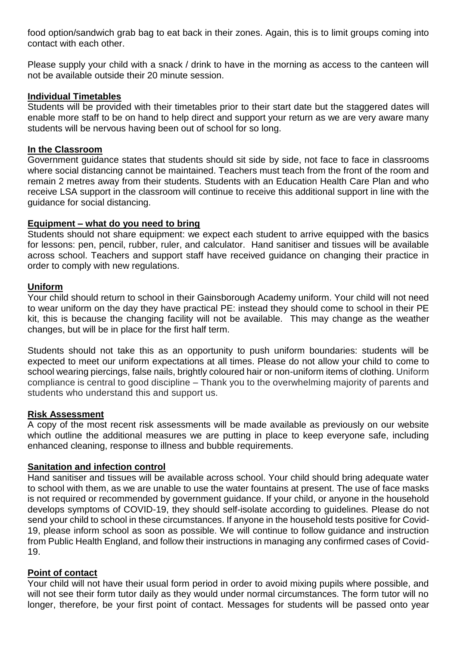food option/sandwich grab bag to eat back in their zones. Again, this is to limit groups coming into contact with each other.

Please supply your child with a snack / drink to have in the morning as access to the canteen will not be available outside their 20 minute session.

#### **Individual Timetables**

Students will be provided with their timetables prior to their start date but the staggered dates will enable more staff to be on hand to help direct and support your return as we are very aware many students will be nervous having been out of school for so long.

#### **In the Classroom**

Government guidance states that students should sit side by side, not face to face in classrooms where social distancing cannot be maintained. Teachers must teach from the front of the room and remain 2 metres away from their students. Students with an Education Health Care Plan and who receive LSA support in the classroom will continue to receive this additional support in line with the guidance for social distancing.

## **Equipment – what do you need to bring**

Students should not share equipment: we expect each student to arrive equipped with the basics for lessons: pen, pencil, rubber, ruler, and calculator. Hand sanitiser and tissues will be available across school. Teachers and support staff have received guidance on changing their practice in order to comply with new regulations.

## **Uniform**

Your child should return to school in their Gainsborough Academy uniform. Your child will not need to wear uniform on the day they have practical PE: instead they should come to school in their PE kit, this is because the changing facility will not be available. This may change as the weather changes, but will be in place for the first half term.

Students should not take this as an opportunity to push uniform boundaries: students will be expected to meet our uniform expectations at all times. Please do not allow your child to come to school wearing piercings, false nails, brightly coloured hair or non-uniform items of clothing. Uniform compliance is central to good discipline – Thank you to the overwhelming majority of parents and students who understand this and support us.

## **Risk Assessment**

A copy of the most recent risk assessments will be made available as previously on our website which outline the additional measures we are putting in place to keep everyone safe, including enhanced cleaning, response to illness and bubble requirements.

## **Sanitation and infection control**

Hand sanitiser and tissues will be available across school. Your child should bring adequate water to school with them, as we are unable to use the water fountains at present. The use of face masks is not required or recommended by government guidance. If your child, or anyone in the household develops symptoms of COVID-19, they should self-isolate according to guidelines. Please do not send your child to school in these circumstances. If anyone in the household tests positive for Covid-19, please inform school as soon as possible. We will continue to follow guidance and instruction from Public Health England, and follow their instructions in managing any confirmed cases of Covid-19.

#### **Point of contact**

Your child will not have their usual form period in order to avoid mixing pupils where possible, and will not see their form tutor daily as they would under normal circumstances. The form tutor will no longer, therefore, be your first point of contact. Messages for students will be passed onto year